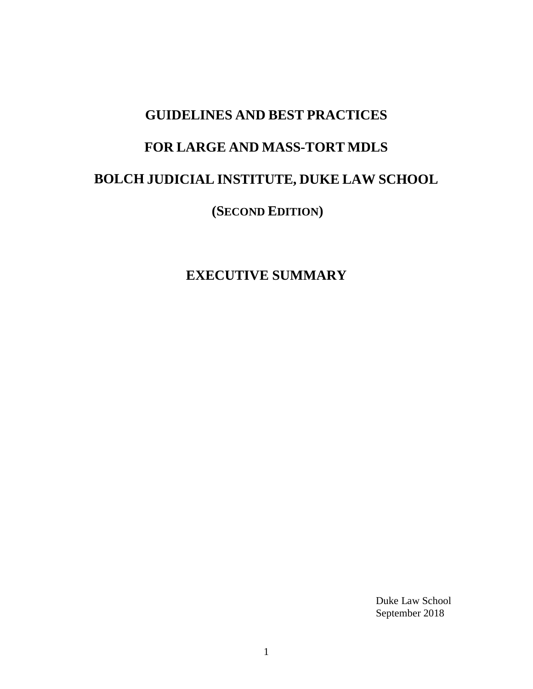# **GUIDELINES AND BEST PRACTICES FOR LARGE AND MASS-TORT MDLS BOLCH JUDICIAL INSTITUTE, DUKE LAW SCHOOL (SECOND EDITION)**

**EXECUTIVE SUMMARY**

Duke Law School September 2018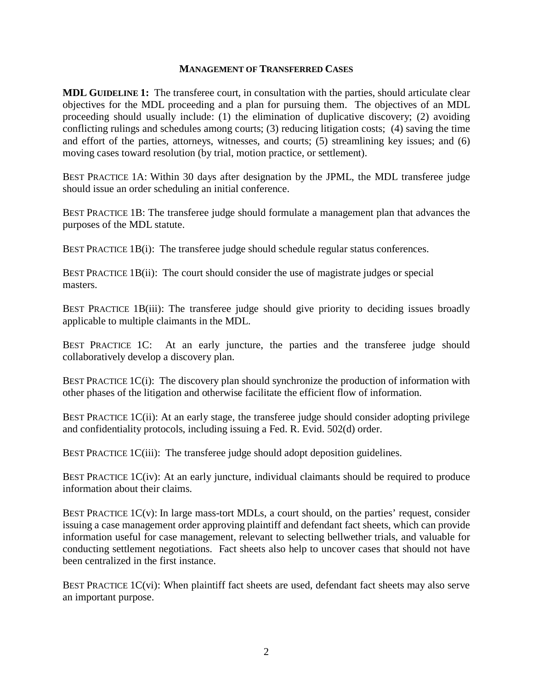#### **MANAGEMENT OF TRANSFERRED CASES**

**MDL GUIDELINE 1:**The transferee court, in consultation with the parties, should articulate clear objectives for the MDL proceeding and a plan for pursuing them. The objectives of an MDL proceeding should usually include: (1) the elimination of duplicative discovery; (2) avoiding conflicting rulings and schedules among courts; (3) reducing litigation costs; (4) saving the time and effort of the parties, attorneys, witnesses, and courts; (5) streamlining key issues; and (6) moving cases toward resolution (by trial, motion practice, or settlement).

BEST PRACTICE 1A: Within 30 days after designation by the JPML, the MDL transferee judge should issue an order scheduling an initial conference.

BEST PRACTICE 1B: The transferee judge should formulate a management plan that advances the purposes of the MDL statute.

BEST PRACTICE 1B(i): The transferee judge should schedule regular status conferences.

BEST PRACTICE 1B(ii): The court should consider the use of magistrate judges or special masters.

BEST PRACTICE 1B(iii): The transferee judge should give priority to deciding issues broadly applicable to multiple claimants in the MDL.

BEST PRACTICE 1C: At an early juncture, the parties and the transferee judge should collaboratively develop a discovery plan.

BEST PRACTICE  $1C(i)$ : The discovery plan should synchronize the production of information with other phases of the litigation and otherwise facilitate the efficient flow of information.

BEST PRACTICE 1C(ii): At an early stage, the transferee judge should consider adopting privilege and confidentiality protocols, including issuing a Fed. R. Evid. 502(d) order.

BEST PRACTICE 1C(iii): The transferee judge should adopt deposition guidelines.

BEST PRACTICE 1C(iv): At an early juncture, individual claimants should be required to produce information about their claims.

BEST PRACTICE  $1C(v)$ : In large mass-tort MDLs, a court should, on the parties' request, consider issuing a case management order approving plaintiff and defendant fact sheets, which can provide information useful for case management, relevant to selecting bellwether trials, and valuable for conducting settlement negotiations. Fact sheets also help to uncover cases that should not have been centralized in the first instance.

BEST PRACTICE  $1C(vi)$ : When plaintiff fact sheets are used, defendant fact sheets may also serve an important purpose.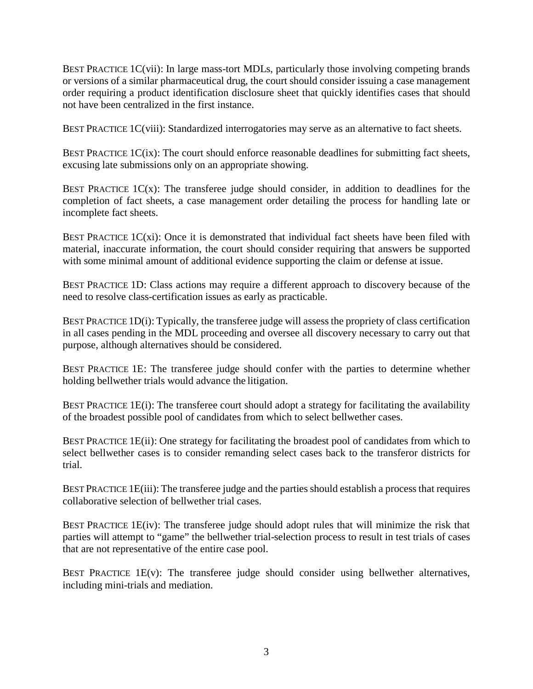BEST PRACTICE 1C(vii): In large mass-tort MDLs, particularly those involving competing brands or versions of a similar pharmaceutical drug, the court should consider issuing a case management order requiring a product identification disclosure sheet that quickly identifies cases that should not have been centralized in the first instance.

BEST PRACTICE 1C(viii): Standardized interrogatories may serve as an alternative to fact sheets.

BEST PRACTICE 1C(ix): The court should enforce reasonable deadlines for submitting fact sheets, excusing late submissions only on an appropriate showing.

BEST PRACTICE  $1C(x)$ : The transferee judge should consider, in addition to deadlines for the completion of fact sheets, a case management order detailing the process for handling late or incomplete fact sheets.

BEST PRACTICE  $1C(x)$ : Once it is demonstrated that individual fact sheets have been filed with material, inaccurate information, the court should consider requiring that answers be supported with some minimal amount of additional evidence supporting the claim or defense at issue.

BEST PRACTICE 1D: Class actions may require a different approach to discovery because of the need to resolve class-certification issues as early as practicable.

BEST PRACTICE 1D(i): Typically, the transferee judge will assess the propriety of class certification in all cases pending in the MDL proceeding and oversee all discovery necessary to carry out that purpose, although alternatives should be considered.

BEST PRACTICE 1E: The transferee judge should confer with the parties to determine whether holding bellwether trials would advance the litigation.

BEST PRACTICE 1E(i): The transferee court should adopt a strategy for facilitating the availability of the broadest possible pool of candidates from which to select bellwether cases.

BEST PRACTICE 1E(ii): One strategy for facilitating the broadest pool of candidates from which to select bellwether cases is to consider remanding select cases back to the transferor districts for trial.

BEST PRACTICE 1E(iii): The transferee judge and the parties should establish a process that requires collaborative selection of bellwether trial cases.

BEST PRACTICE  $1E(iv)$ : The transferee judge should adopt rules that will minimize the risk that parties will attempt to "game" the bellwether trial-selection process to result in test trials of cases that are not representative of the entire case pool.

BEST PRACTICE 1E(v): The transferee judge should consider using bellwether alternatives, including mini-trials and mediation.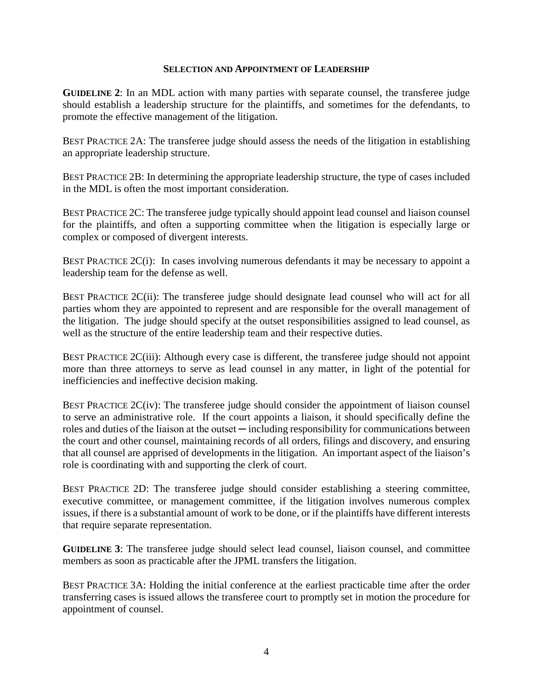#### **SELECTION AND APPOINTMENT OF LEADERSHIP**

**GUIDELINE 2**: In an MDL action with many parties with separate counsel, the transferee judge should establish a leadership structure for the plaintiffs, and sometimes for the defendants, to promote the effective management of the litigation.

BEST PRACTICE 2A: The transferee judge should assess the needs of the litigation in establishing an appropriate leadership structure.

BEST PRACTICE 2B: In determining the appropriate leadership structure, the type of cases included in the MDL is often the most important consideration.

BEST PRACTICE 2C: The transferee judge typically should appoint lead counsel and liaison counsel for the plaintiffs, and often a supporting committee when the litigation is especially large or complex or composed of divergent interests.

BEST PRACTICE 2C(i): In cases involving numerous defendants it may be necessary to appoint a leadership team for the defense as well.

BEST PRACTICE 2C(ii): The transferee judge should designate lead counsel who will act for all parties whom they are appointed to represent and are responsible for the overall management of the litigation. The judge should specify at the outset responsibilities assigned to lead counsel, as well as the structure of the entire leadership team and their respective duties.

BEST PRACTICE 2C(iii): Although every case is different, the transferee judge should not appoint more than three attorneys to serve as lead counsel in any matter, in light of the potential for inefficiencies and ineffective decision making.

BEST PRACTICE 2C(iv): The transferee judge should consider the appointment of liaison counsel to serve an administrative role. If the court appoints a liaison, it should specifically define the roles and duties of the liaison at the outset — including responsibility for communications between the court and other counsel, maintaining records of all orders, filings and discovery, and ensuring that all counsel are apprised of developments in the litigation. An important aspect of the liaison's role is coordinating with and supporting the clerk of court.

BEST PRACTICE 2D: The transferee judge should consider establishing a steering committee, executive committee, or management committee, if the litigation involves numerous complex issues, if there is a substantial amount of work to be done, or if the plaintiffs have different interests that require separate representation.

**GUIDELINE 3**: The transferee judge should select lead counsel, liaison counsel, and committee members as soon as practicable after the JPML transfers the litigation.

BEST PRACTICE 3A: Holding the initial conference at the earliest practicable time after the order transferring cases is issued allows the transferee court to promptly set in motion the procedure for appointment of counsel.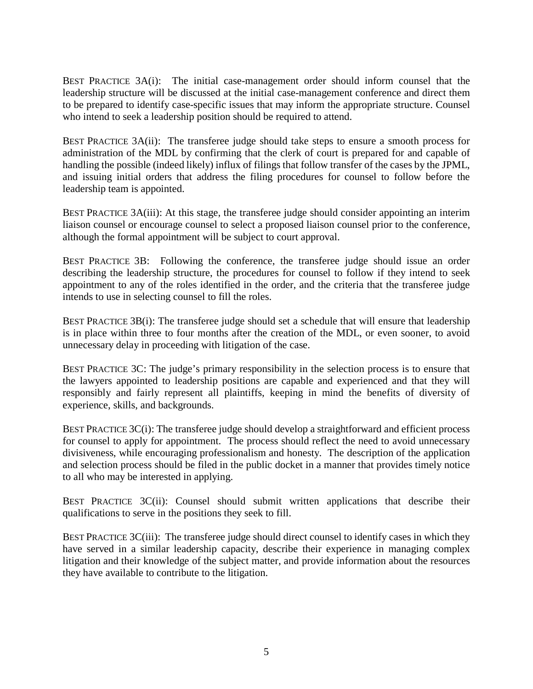BEST PRACTICE 3A(i): The initial case-management order should inform counsel that the leadership structure will be discussed at the initial case-management conference and direct them to be prepared to identify case-specific issues that may inform the appropriate structure. Counsel who intend to seek a leadership position should be required to attend.

BEST PRACTICE 3A(ii): The transferee judge should take steps to ensure a smooth process for administration of the MDL by confirming that the clerk of court is prepared for and capable of handling the possible (indeed likely) influx of filings that follow transfer of the cases by the JPML, and issuing initial orders that address the filing procedures for counsel to follow before the leadership team is appointed.

BEST PRACTICE 3A(iii): At this stage, the transferee judge should consider appointing an interim liaison counsel or encourage counsel to select a proposed liaison counsel prior to the conference, although the formal appointment will be subject to court approval.

BEST PRACTICE 3B: Following the conference, the transferee judge should issue an order describing the leadership structure, the procedures for counsel to follow if they intend to seek appointment to any of the roles identified in the order, and the criteria that the transferee judge intends to use in selecting counsel to fill the roles.

BEST PRACTICE 3B(i): The transferee judge should set a schedule that will ensure that leadership is in place within three to four months after the creation of the MDL, or even sooner, to avoid unnecessary delay in proceeding with litigation of the case.

BEST PRACTICE 3C: The judge's primary responsibility in the selection process is to ensure that the lawyers appointed to leadership positions are capable and experienced and that they will responsibly and fairly represent all plaintiffs, keeping in mind the benefits of diversity of experience, skills, and backgrounds.

BEST PRACTICE  $3C(i)$ : The transferee judge should develop a straightforward and efficient process for counsel to apply for appointment. The process should reflect the need to avoid unnecessary divisiveness, while encouraging professionalism and honesty. The description of the application and selection process should be filed in the public docket in a manner that provides timely notice to all who may be interested in applying.

BEST PRACTICE 3C(ii): Counsel should submit written applications that describe their qualifications to serve in the positions they seek to fill.

BEST PRACTICE 3C(iii): The transferee judge should direct counsel to identify cases in which they have served in a similar leadership capacity, describe their experience in managing complex litigation and their knowledge of the subject matter, and provide information about the resources they have available to contribute to the litigation.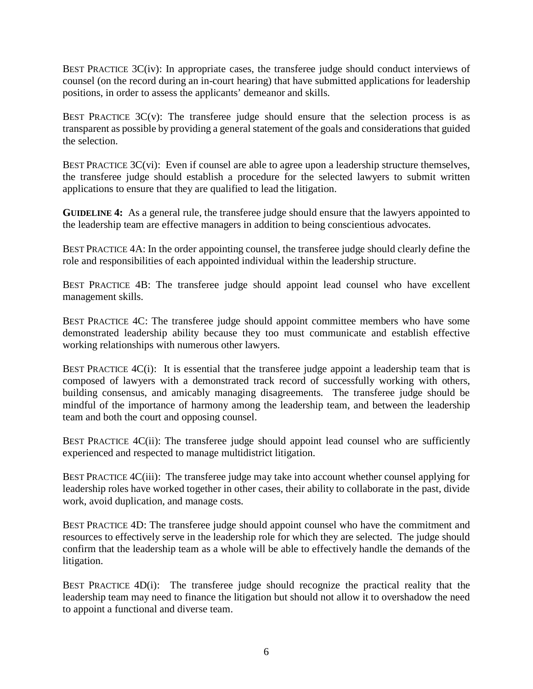BEST PRACTICE 3C(iv): In appropriate cases, the transferee judge should conduct interviews of counsel (on the record during an in-court hearing) that have submitted applications for leadership positions, in order to assess the applicants' demeanor and skills.

BEST PRACTICE  $3C(v)$ : The transferee judge should ensure that the selection process is as transparent as possible by providing a general statement of the goals and considerations that guided the selection.

BEST PRACTICE  $3C(v)$ : Even if counsel are able to agree upon a leadership structure themselves, the transferee judge should establish a procedure for the selected lawyers to submit written applications to ensure that they are qualified to lead the litigation.

**GUIDELINE 4:** As a general rule, the transferee judge should ensure that the lawyers appointed to the leadership team are effective managers in addition to being conscientious advocates.

BEST PRACTICE 4A: In the order appointing counsel, the transferee judge should clearly define the role and responsibilities of each appointed individual within the leadership structure.

BEST PRACTICE 4B: The transferee judge should appoint lead counsel who have excellent management skills.

BEST PRACTICE 4C: The transferee judge should appoint committee members who have some demonstrated leadership ability because they too must communicate and establish effective working relationships with numerous other lawyers.

BEST PRACTICE 4C(i): It is essential that the transferee judge appoint a leadership team that is composed of lawyers with a demonstrated track record of successfully working with others, building consensus, and amicably managing disagreements. The transferee judge should be mindful of the importance of harmony among the leadership team, and between the leadership team and both the court and opposing counsel.

BEST PRACTICE 4C(ii): The transferee judge should appoint lead counsel who are sufficiently experienced and respected to manage multidistrict litigation.

BEST PRACTICE 4C(iii): The transferee judge may take into account whether counsel applying for leadership roles have worked together in other cases, their ability to collaborate in the past, divide work, avoid duplication, and manage costs.

BEST PRACTICE 4D: The transferee judge should appoint counsel who have the commitment and resources to effectively serve in the leadership role for which they are selected. The judge should confirm that the leadership team as a whole will be able to effectively handle the demands of the litigation.

BEST PRACTICE 4D(i): The transferee judge should recognize the practical reality that the leadership team may need to finance the litigation but should not allow it to overshadow the need to appoint a functional and diverse team.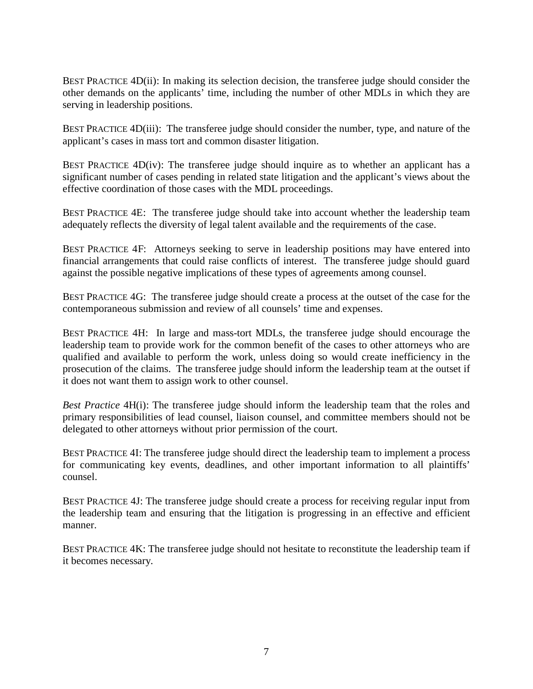BEST PRACTICE 4D(ii): In making its selection decision, the transferee judge should consider the other demands on the applicants' time, including the number of other MDLs in which they are serving in leadership positions.

BEST PRACTICE 4D(iii): The transferee judge should consider the number, type, and nature of the applicant's cases in mass tort and common disaster litigation.

BEST PRACTICE  $4D(iv)$ : The transferee judge should inquire as to whether an applicant has a significant number of cases pending in related state litigation and the applicant's views about the effective coordination of those cases with the MDL proceedings.

BEST PRACTICE 4E: The transferee judge should take into account whether the leadership team adequately reflects the diversity of legal talent available and the requirements of the case.

BEST PRACTICE 4F: Attorneys seeking to serve in leadership positions may have entered into financial arrangements that could raise conflicts of interest. The transferee judge should guard against the possible negative implications of these types of agreements among counsel.

BEST PRACTICE 4G: The transferee judge should create a process at the outset of the case for the contemporaneous submission and review of all counsels' time and expenses.

BEST PRACTICE 4H: In large and mass-tort MDLs, the transferee judge should encourage the leadership team to provide work for the common benefit of the cases to other attorneys who are qualified and available to perform the work, unless doing so would create inefficiency in the prosecution of the claims. The transferee judge should inform the leadership team at the outset if it does not want them to assign work to other counsel.

*Best Practice* 4H(i): The transferee judge should inform the leadership team that the roles and primary responsibilities of lead counsel, liaison counsel, and committee members should not be delegated to other attorneys without prior permission of the court.

BEST PRACTICE 4I: The transferee judge should direct the leadership team to implement a process for communicating key events, deadlines, and other important information to all plaintiffs' counsel.

BEST PRACTICE 4J: The transferee judge should create a process for receiving regular input from the leadership team and ensuring that the litigation is progressing in an effective and efficient manner.

BEST PRACTICE 4K: The transferee judge should not hesitate to reconstitute the leadership team if it becomes necessary.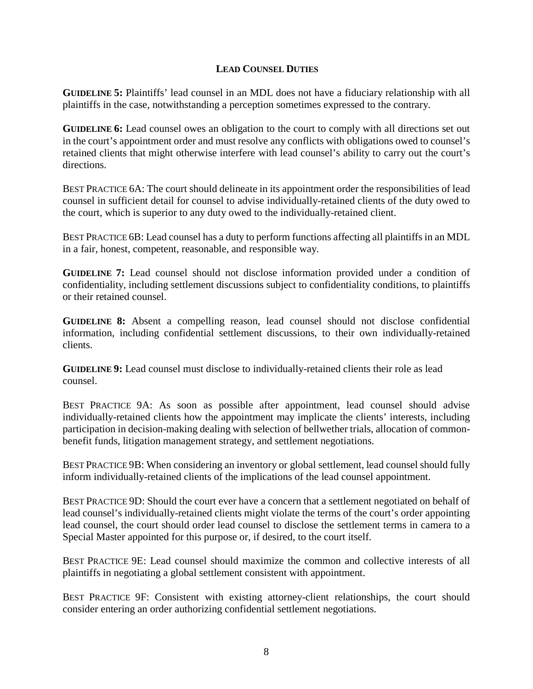## **LEAD COUNSEL DUTIES**

**GUIDELINE 5:** Plaintiffs' lead counsel in an MDL does not have a fiduciary relationship with all plaintiffs in the case, notwithstanding a perception sometimes expressed to the contrary.

**GUIDELINE 6:** Lead counsel owes an obligation to the court to comply with all directions set out in the court's appointment order and must resolve any conflicts with obligations owed to counsel's retained clients that might otherwise interfere with lead counsel's ability to carry out the court's directions.

BEST PRACTICE 6A: The court should delineate in its appointment order the responsibilities of lead counsel in sufficient detail for counsel to advise individually-retained clients of the duty owed to the court, which is superior to any duty owed to the individually-retained client.

BEST PRACTICE 6B: Lead counsel has a duty to perform functions affecting all plaintiffs in an MDL in a fair, honest, competent, reasonable, and responsible way.

**GUIDELINE 7:** Lead counsel should not disclose information provided under a condition of confidentiality, including settlement discussions subject to confidentiality conditions, to plaintiffs or their retained counsel.

**GUIDELINE 8:** Absent a compelling reason, lead counsel should not disclose confidential information, including confidential settlement discussions, to their own individually-retained clients.

**GUIDELINE 9:** Lead counsel must disclose to individually-retained clients their role as lead counsel.

BEST PRACTICE 9A: As soon as possible after appointment, lead counsel should advise individually-retained clients how the appointment may implicate the clients' interests, including participation in decision-making dealing with selection of bellwether trials, allocation of commonbenefit funds, litigation management strategy, and settlement negotiations.

BEST PRACTICE 9B: When considering an inventory or global settlement, lead counsel should fully inform individually-retained clients of the implications of the lead counsel appointment.

BEST PRACTICE 9D: Should the court ever have a concern that a settlement negotiated on behalf of lead counsel's individually-retained clients might violate the terms of the court's order appointing lead counsel, the court should order lead counsel to disclose the settlement terms in camera to a Special Master appointed for this purpose or, if desired, to the court itself.

BEST PRACTICE 9E: Lead counsel should maximize the common and collective interests of all plaintiffs in negotiating a global settlement consistent with appointment.

BEST PRACTICE 9F: Consistent with existing attorney-client relationships, the court should consider entering an order authorizing confidential settlement negotiations.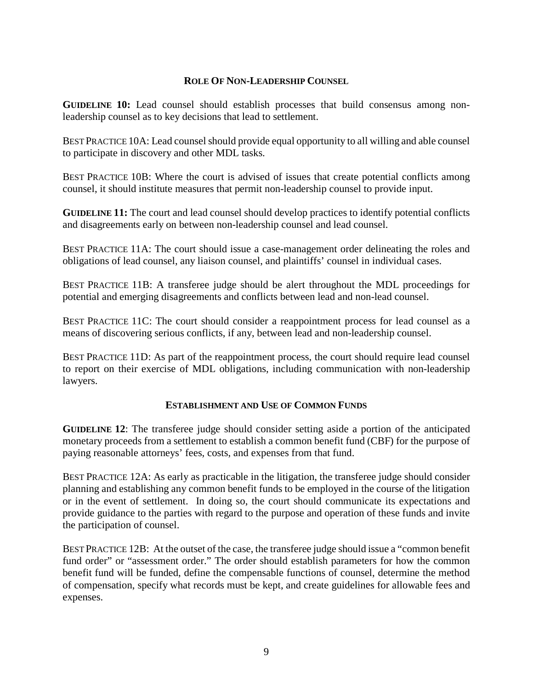## **ROLE OF NON-LEADERSHIP COUNSEL**

**GUIDELINE 10:** Lead counsel should establish processes that build consensus among nonleadership counsel as to key decisions that lead to settlement.

BEST PRACTICE 10A: Lead counsel should provide equal opportunity to all willing and able counsel to participate in discovery and other MDL tasks.

BEST PRACTICE 10B: Where the court is advised of issues that create potential conflicts among counsel, it should institute measures that permit non-leadership counsel to provide input.

**GUIDELINE 11:** The court and lead counsel should develop practices to identify potential conflicts and disagreements early on between non-leadership counsel and lead counsel.

BEST PRACTICE 11A: The court should issue a case-management order delineating the roles and obligations of lead counsel, any liaison counsel, and plaintiffs' counsel in individual cases.

BEST PRACTICE 11B: A transferee judge should be alert throughout the MDL proceedings for potential and emerging disagreements and conflicts between lead and non-lead counsel.

BEST PRACTICE 11C: The court should consider a reappointment process for lead counsel as a means of discovering serious conflicts, if any, between lead and non-leadership counsel.

BEST PRACTICE 11D: As part of the reappointment process, the court should require lead counsel to report on their exercise of MDL obligations, including communication with non-leadership lawyers.

### **ESTABLISHMENT AND USE OF COMMON FUNDS**

**GUIDELINE 12**: The transferee judge should consider setting aside a portion of the anticipated monetary proceeds from a settlement to establish a common benefit fund (CBF) for the purpose of paying reasonable attorneys' fees, costs, and expenses from that fund.

BEST PRACTICE 12A: As early as practicable in the litigation, the transferee judge should consider planning and establishing any common benefit funds to be employed in the course of the litigation or in the event of settlement. In doing so, the court should communicate its expectations and provide guidance to the parties with regard to the purpose and operation of these funds and invite the participation of counsel.

BEST PRACTICE 12B: At the outset of the case, the transferee judge should issue a "common benefit fund order" or "assessment order." The order should establish parameters for how the common benefit fund will be funded, define the compensable functions of counsel, determine the method of compensation, specify what records must be kept, and create guidelines for allowable fees and expenses.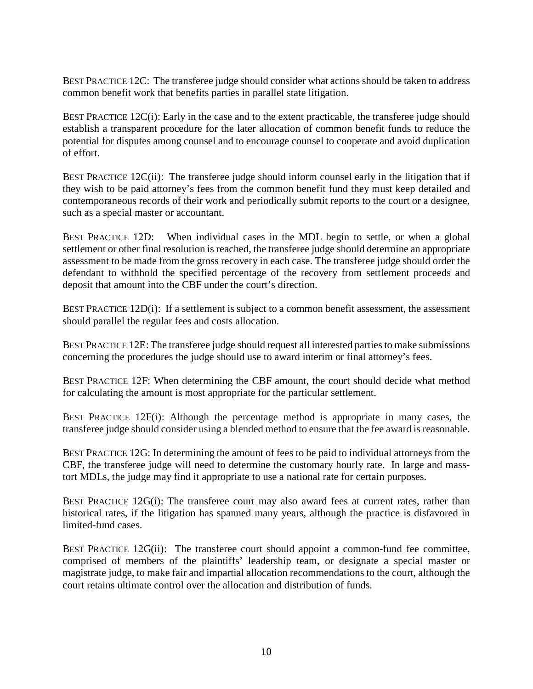BEST PRACTICE 12C: The transferee judge should consider what actions should be taken to address common benefit work that benefits parties in parallel state litigation.

BEST PRACTICE 12C(i): Early in the case and to the extent practicable, the transferee judge should establish a transparent procedure for the later allocation of common benefit funds to reduce the potential for disputes among counsel and to encourage counsel to cooperate and avoid duplication of effort.

BEST PRACTICE 12C(ii): The transferee judge should inform counsel early in the litigation that if they wish to be paid attorney's fees from the common benefit fund they must keep detailed and contemporaneous records of their work and periodically submit reports to the court or a designee, such as a special master or accountant.

BEST PRACTICE 12D: When individual cases in the MDL begin to settle, or when a global settlement or other final resolution is reached, the transferee judge should determine an appropriate assessment to be made from the gross recovery in each case. The transferee judge should order the defendant to withhold the specified percentage of the recovery from settlement proceeds and deposit that amount into the CBF under the court's direction.

BEST PRACTICE 12D(i): If a settlement is subject to a common benefit assessment, the assessment should parallel the regular fees and costs allocation.

BEST PRACTICE 12E: The transferee judge should request all interested parties to make submissions concerning the procedures the judge should use to award interim or final attorney's fees.

BEST PRACTICE 12F: When determining the CBF amount, the court should decide what method for calculating the amount is most appropriate for the particular settlement.

BEST PRACTICE 12F(i): Although the percentage method is appropriate in many cases, the transferee judge should consider using a blended method to ensure that the fee award is reasonable.

BEST PRACTICE 12G: In determining the amount of fees to be paid to individual attorneys from the CBF, the transferee judge will need to determine the customary hourly rate. In large and masstort MDLs, the judge may find it appropriate to use a national rate for certain purposes.

BEST PRACTICE 12G(i): The transferee court may also award fees at current rates, rather than historical rates, if the litigation has spanned many years, although the practice is disfavored in limited-fund cases.

BEST PRACTICE 12G(ii): The transferee court should appoint a common-fund fee committee, comprised of members of the plaintiffs' leadership team, or designate a special master or magistrate judge, to make fair and impartial allocation recommendations to the court, although the court retains ultimate control over the allocation and distribution of funds.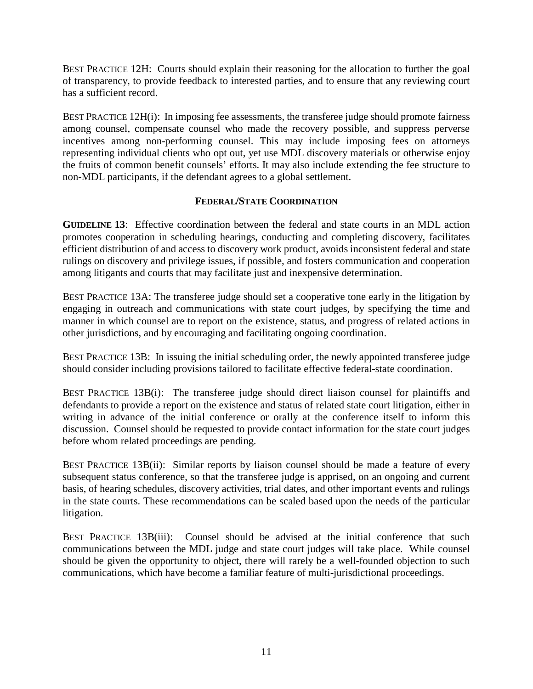BEST PRACTICE 12H: Courts should explain their reasoning for the allocation to further the goal of transparency, to provide feedback to interested parties, and to ensure that any reviewing court has a sufficient record.

BEST PRACTICE 12H(i): In imposing fee assessments, the transferee judge should promote fairness among counsel, compensate counsel who made the recovery possible, and suppress perverse incentives among non-performing counsel. This may include imposing fees on attorneys representing individual clients who opt out, yet use MDL discovery materials or otherwise enjoy the fruits of common benefit counsels' efforts. It may also include extending the fee structure to non-MDL participants, if the defendant agrees to a global settlement.

## **FEDERAL/STATE COORDINATION**

**GUIDELINE 13**: Effective coordination between the federal and state courts in an MDL action promotes cooperation in scheduling hearings, conducting and completing discovery, facilitates efficient distribution of and access to discovery work product, avoids inconsistent federal and state rulings on discovery and privilege issues, if possible, and fosters communication and cooperation among litigants and courts that may facilitate just and inexpensive determination.

BEST PRACTICE 13A: The transferee judge should set a cooperative tone early in the litigation by engaging in outreach and communications with state court judges, by specifying the time and manner in which counsel are to report on the existence, status, and progress of related actions in other jurisdictions, and by encouraging and facilitating ongoing coordination.

BEST PRACTICE 13B: In issuing the initial scheduling order, the newly appointed transferee judge should consider including provisions tailored to facilitate effective federal-state coordination.

BEST PRACTICE 13B(i): The transferee judge should direct liaison counsel for plaintiffs and defendants to provide a report on the existence and status of related state court litigation, either in writing in advance of the initial conference or orally at the conference itself to inform this discussion. Counsel should be requested to provide contact information for the state court judges before whom related proceedings are pending.

BEST PRACTICE 13B(ii): Similar reports by liaison counsel should be made a feature of every subsequent status conference, so that the transferee judge is apprised, on an ongoing and current basis, of hearing schedules, discovery activities, trial dates, and other important events and rulings in the state courts. These recommendations can be scaled based upon the needs of the particular litigation.

BEST PRACTICE 13B(iii): Counsel should be advised at the initial conference that such communications between the MDL judge and state court judges will take place. While counsel should be given the opportunity to object, there will rarely be a well-founded objection to such communications, which have become a familiar feature of multi-jurisdictional proceedings.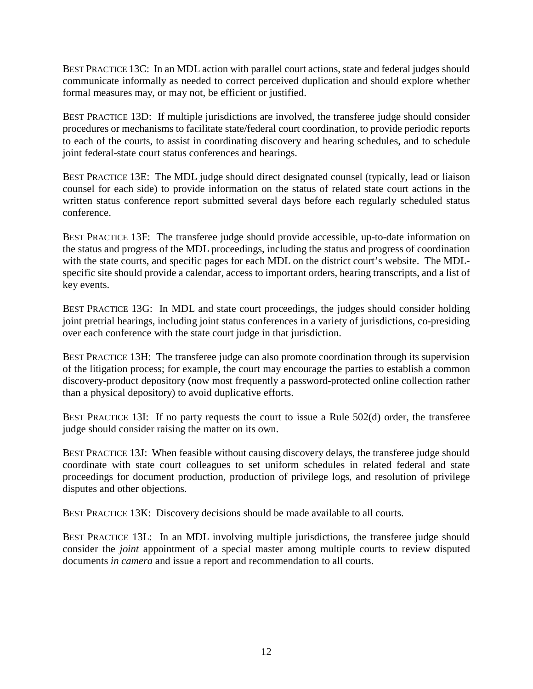BEST PRACTICE 13C: In an MDL action with parallel court actions, state and federal judges should communicate informally as needed to correct perceived duplication and should explore whether formal measures may, or may not, be efficient or justified.

BEST PRACTICE 13D: If multiple jurisdictions are involved, the transferee judge should consider procedures or mechanisms to facilitate state/federal court coordination, to provide periodic reports to each of the courts, to assist in coordinating discovery and hearing schedules, and to schedule joint federal-state court status conferences and hearings.

BEST PRACTICE 13E: The MDL judge should direct designated counsel (typically, lead or liaison counsel for each side) to provide information on the status of related state court actions in the written status conference report submitted several days before each regularly scheduled status conference.

BEST PRACTICE 13F: The transferee judge should provide accessible, up-to-date information on the status and progress of the MDL proceedings, including the status and progress of coordination with the state courts, and specific pages for each MDL on the district court's website. The MDLspecific site should provide a calendar, access to important orders, hearing transcripts, and a list of key events.

BEST PRACTICE 13G: In MDL and state court proceedings, the judges should consider holding joint pretrial hearings, including joint status conferences in a variety of jurisdictions, co-presiding over each conference with the state court judge in that jurisdiction.

BEST PRACTICE 13H: The transferee judge can also promote coordination through its supervision of the litigation process; for example, the court may encourage the parties to establish a common discovery-product depository (now most frequently a password-protected online collection rather than a physical depository) to avoid duplicative efforts.

BEST PRACTICE 13I: If no party requests the court to issue a Rule 502(d) order, the transferee judge should consider raising the matter on its own.

BEST PRACTICE 13J: When feasible without causing discovery delays, the transferee judge should coordinate with state court colleagues to set uniform schedules in related federal and state proceedings for document production, production of privilege logs, and resolution of privilege disputes and other objections.

BEST PRACTICE 13K: Discovery decisions should be made available to all courts.

BEST PRACTICE 13L: In an MDL involving multiple jurisdictions, the transferee judge should consider the *joint* appointment of a special master among multiple courts to review disputed documents *in camera* and issue a report and recommendation to all courts.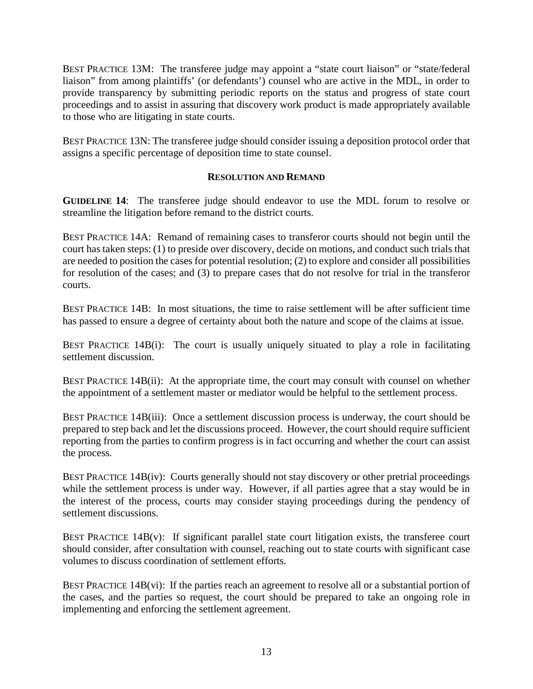BEST PRACTICE 13M: The transferee judge may appoint a "state court liaison" or "state/federal liaison" from among plaintiffs' (or defendants') counsel who are active in the MDL, in order to provide transparency by submitting periodic reports on the status and progress of state court proceedings and to assist in assuring that discovery work product is made appropriately available to those who are litigating in state courts.

BEST PRACTICE 13N: The transferee judge should consider issuing a deposition protocol order that assigns a specific percentage of deposition time to state counsel.

#### **RESOLUTION AND REMAND**

**GUIDELINE 14**: The transferee judge should endeavor to use the MDL forum to resolve or streamline the litigation before remand to the district courts.

BEST PRACTICE 14A: Remand of remaining cases to transferor courts should not begin until the court has taken steps: (1) to preside over discovery, decide on motions, and conduct such trials that are needed to position the cases for potential resolution; (2) to explore and consider all possibilities for resolution of the cases; and (3) to prepare cases that do not resolve for trial in the transferor courts.

BEST PRACTICE 14B: In most situations, the time to raise settlement will be after sufficient time has passed to ensure a degree of certainty about both the nature and scope of the claims at issue.

BEST PRACTICE 14B(i): The court is usually uniquely situated to play a role in facilitating settlement discussion.

BEST PRACTICE 14B(ii): At the appropriate time, the court may consult with counsel on whether the appointment of a settlement master or mediator would be helpful to the settlement process.

BEST PRACTICE 14B(iii): Once a settlement discussion process is underway, the court should be prepared to step back and let the discussions proceed. However, the court should require sufficient reporting from the parties to confirm progress is in fact occurring and whether the court can assist the process.

BEST PRACTICE 14B(iv): Courts generally should not stay discovery or other pretrial proceedings while the settlement process is under way. However, if all parties agree that a stay would be in the interest of the process, courts may consider staying proceedings during the pendency of settlement discussions.

BEST PRACTICE  $14B(v)$ : If significant parallel state court litigation exists, the transferee court should consider, after consultation with counsel, reaching out to state courts with significant case volumes to discuss coordination of settlement efforts.

BEST PRACTICE  $14B(vi)$ : If the parties reach an agreement to resolve all or a substantial portion of the cases, and the parties so request, the court should be prepared to take an ongoing role in implementing and enforcing the settlement agreement.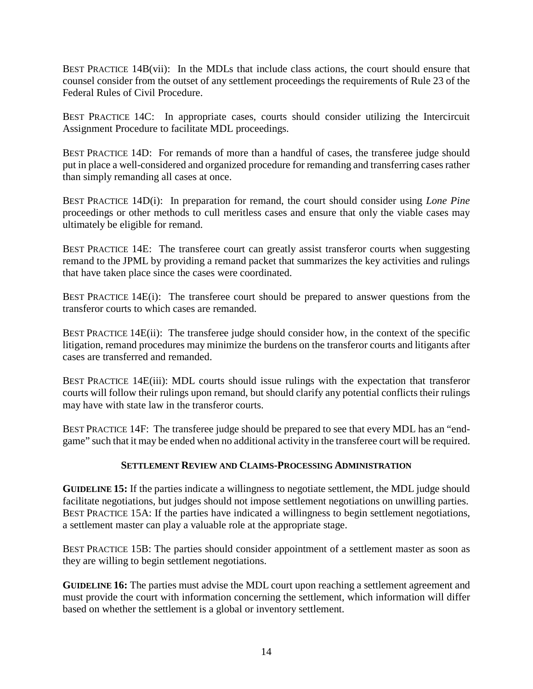BEST PRACTICE 14B(vii): In the MDLs that include class actions, the court should ensure that counsel consider from the outset of any settlement proceedings the requirements of Rule 23 of the Federal Rules of Civil Procedure.

BEST PRACTICE 14C: In appropriate cases, courts should consider utilizing the Intercircuit Assignment Procedure to facilitate MDL proceedings.

BEST PRACTICE 14D: For remands of more than a handful of cases, the transferee judge should put in place a well-considered and organized procedure for remanding and transferring cases rather than simply remanding all cases at once.

BEST PRACTICE 14D(i): In preparation for remand, the court should consider using *Lone Pine* proceedings or other methods to cull meritless cases and ensure that only the viable cases may ultimately be eligible for remand.

BEST PRACTICE 14E: The transferee court can greatly assist transferor courts when suggesting remand to the JPML by providing a remand packet that summarizes the key activities and rulings that have taken place since the cases were coordinated.

BEST PRACTICE 14E(i): The transferee court should be prepared to answer questions from the transferor courts to which cases are remanded.

BEST PRACTICE 14E(ii): The transferee judge should consider how, in the context of the specific litigation, remand procedures may minimize the burdens on the transferor courts and litigants after cases are transferred and remanded.

BEST PRACTICE 14E(iii): MDL courts should issue rulings with the expectation that transferor courts will follow their rulings upon remand, but should clarify any potential conflicts their rulings may have with state law in the transferor courts.

BEST PRACTICE 14F: The transferee judge should be prepared to see that every MDL has an "endgame" such that it may be ended when no additional activity in the transferee court will be required.

# **SETTLEMENT REVIEW AND CLAIMS-PROCESSING ADMINISTRATION**

**GUIDELINE 15:** If the parties indicate a willingness to negotiate settlement, the MDL judge should facilitate negotiations, but judges should not impose settlement negotiations on unwilling parties. BEST PRACTICE 15A: If the parties have indicated a willingness to begin settlement negotiations, a settlement master can play a valuable role at the appropriate stage.

BEST PRACTICE 15B: The parties should consider appointment of a settlement master as soon as they are willing to begin settlement negotiations.

**GUIDELINE 16:** The parties must advise the MDL court upon reaching a settlement agreement and must provide the court with information concerning the settlement, which information will differ based on whether the settlement is a global or inventory settlement.